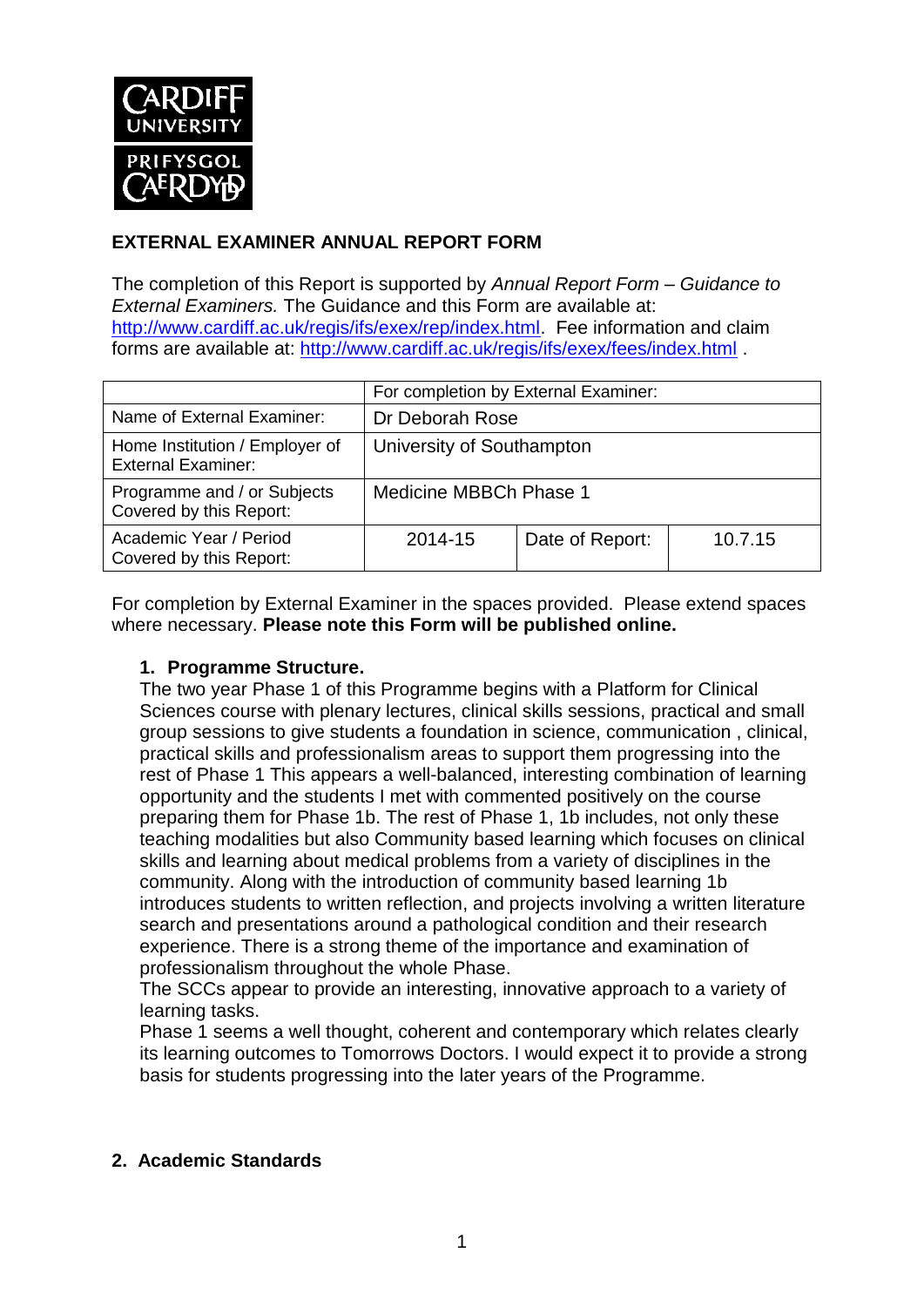

## **EXTERNAL EXAMINER ANNUAL REPORT FORM**

The completion of this Report is supported by *Annual Report Form – Guidance to External Examiners.* The Guidance and this Form are available at: <http://www.cardiff.ac.uk/regis/ifs/exex/rep/index.html>. Fee information and claim forms are available at: <http://www.cardiff.ac.uk/regis/ifs/exex/fees/index.html> .

|                                                             | For completion by External Examiner: |                 |         |  |
|-------------------------------------------------------------|--------------------------------------|-----------------|---------|--|
| Name of External Examiner:                                  | Dr Deborah Rose                      |                 |         |  |
| Home Institution / Employer of<br><b>External Examiner:</b> | University of Southampton            |                 |         |  |
| Programme and / or Subjects<br>Covered by this Report:      | Medicine MBBCh Phase 1               |                 |         |  |
| Academic Year / Period<br>Covered by this Report:           | 2014-15                              | Date of Report: | 10.7.15 |  |

For completion by External Examiner in the spaces provided. Please extend spaces where necessary. **Please note this Form will be published online.**

#### **1. Programme Structure.**

The two year Phase 1 of this Programme begins with a Platform for Clinical Sciences course with plenary lectures, clinical skills sessions, practical and small group sessions to give students a foundation in science, communication , clinical, practical skills and professionalism areas to support them progressing into the rest of Phase 1 This appears a well-balanced, interesting combination of learning opportunity and the students I met with commented positively on the course preparing them for Phase 1b. The rest of Phase 1, 1b includes, not only these teaching modalities but also Community based learning which focuses on clinical skills and learning about medical problems from a variety of disciplines in the community. Along with the introduction of community based learning 1b introduces students to written reflection, and projects involving a written literature search and presentations around a pathological condition and their research experience. There is a strong theme of the importance and examination of professionalism throughout the whole Phase.

The SCCs appear to provide an interesting, innovative approach to a variety of learning tasks.

Phase 1 seems a well thought, coherent and contemporary which relates clearly its learning outcomes to Tomorrows Doctors. I would expect it to provide a strong basis for students progressing into the later years of the Programme.

## **2. Academic Standards**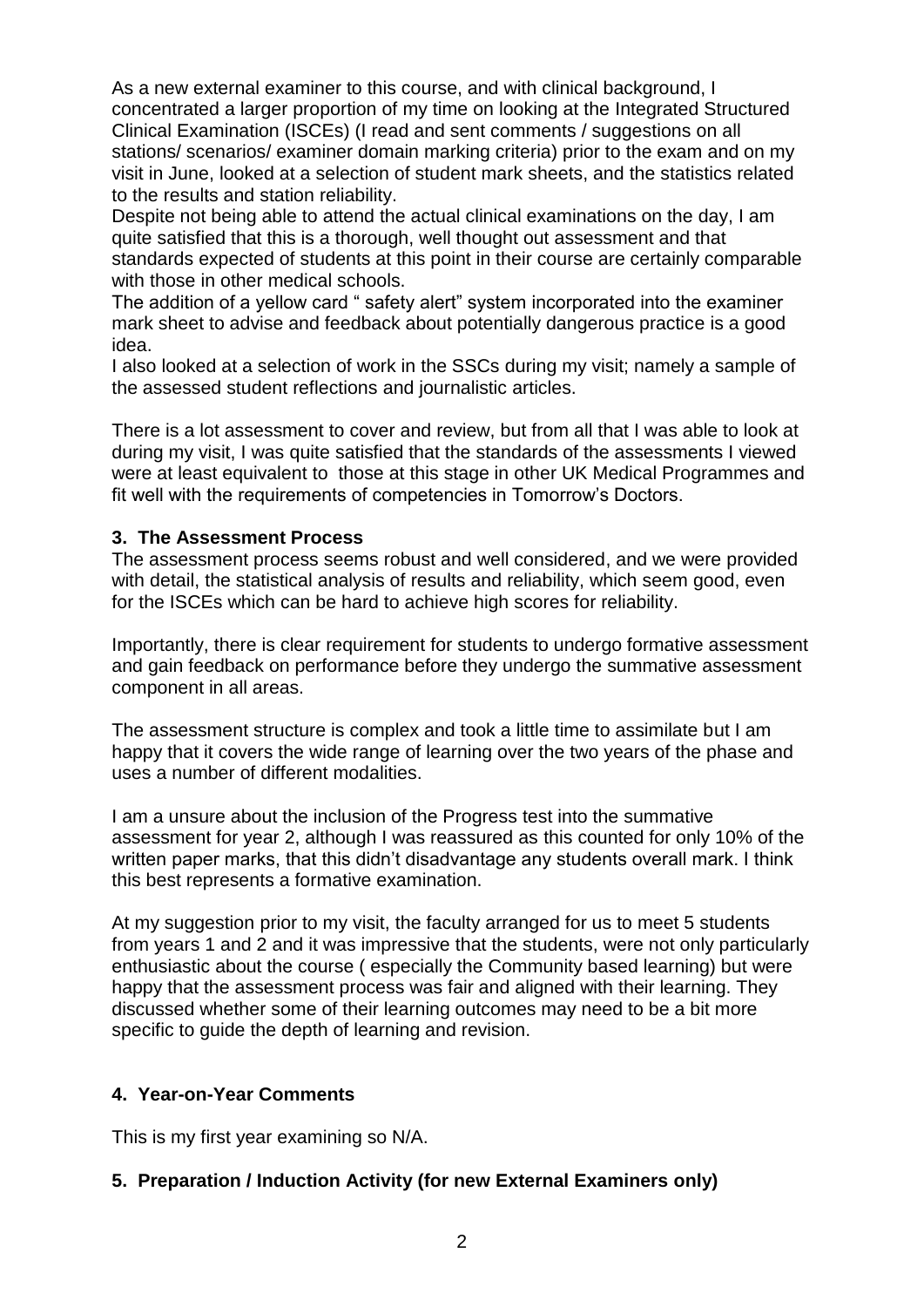As a new external examiner to this course, and with clinical background, I concentrated a larger proportion of my time on looking at the Integrated Structured Clinical Examination (ISCEs) (I read and sent comments / suggestions on all stations/ scenarios/ examiner domain marking criteria) prior to the exam and on my visit in June, looked at a selection of student mark sheets, and the statistics related to the results and station reliability.

Despite not being able to attend the actual clinical examinations on the day, I am quite satisfied that this is a thorough, well thought out assessment and that standards expected of students at this point in their course are certainly comparable with those in other medical schools.

The addition of a yellow card " safety alert" system incorporated into the examiner mark sheet to advise and feedback about potentially dangerous practice is a good idea.

I also looked at a selection of work in the SSCs during my visit; namely a sample of the assessed student reflections and journalistic articles.

There is a lot assessment to cover and review, but from all that I was able to look at during my visit, I was quite satisfied that the standards of the assessments I viewed were at least equivalent to those at this stage in other UK Medical Programmes and fit well with the requirements of competencies in Tomorrow's Doctors.

#### **3. The Assessment Process**

The assessment process seems robust and well considered, and we were provided with detail, the statistical analysis of results and reliability, which seem good, even for the ISCEs which can be hard to achieve high scores for reliability.

Importantly, there is clear requirement for students to undergo formative assessment and gain feedback on performance before they undergo the summative assessment component in all areas.

The assessment structure is complex and took a little time to assimilate but I am happy that it covers the wide range of learning over the two years of the phase and uses a number of different modalities.

I am a unsure about the inclusion of the Progress test into the summative assessment for year 2, although I was reassured as this counted for only 10% of the written paper marks, that this didn't disadvantage any students overall mark. I think this best represents a formative examination.

At my suggestion prior to my visit, the faculty arranged for us to meet 5 students from years 1 and 2 and it was impressive that the students, were not only particularly enthusiastic about the course ( especially the Community based learning) but were happy that the assessment process was fair and aligned with their learning. They discussed whether some of their learning outcomes may need to be a bit more specific to guide the depth of learning and revision.

## **4. Year-on-Year Comments**

This is my first year examining so N/A.

## **5. Preparation / Induction Activity (for new External Examiners only)**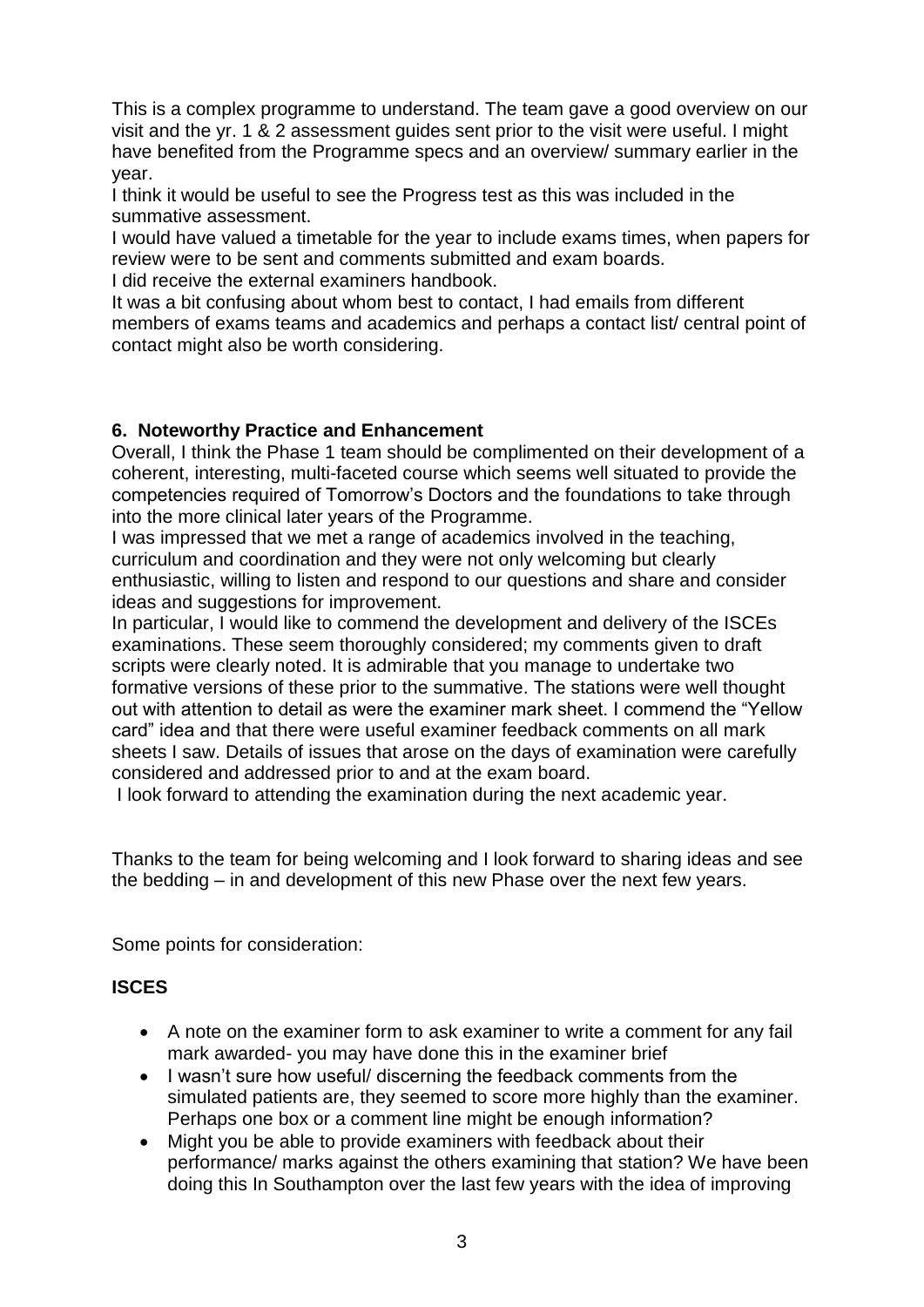This is a complex programme to understand. The team gave a good overview on our visit and the yr. 1 & 2 assessment guides sent prior to the visit were useful. I might have benefited from the Programme specs and an overview/ summary earlier in the year.

I think it would be useful to see the Progress test as this was included in the summative assessment.

I would have valued a timetable for the year to include exams times, when papers for review were to be sent and comments submitted and exam boards.

I did receive the external examiners handbook.

It was a bit confusing about whom best to contact, I had emails from different members of exams teams and academics and perhaps a contact list/ central point of contact might also be worth considering.

## **6. Noteworthy Practice and Enhancement**

Overall, I think the Phase 1 team should be complimented on their development of a coherent, interesting, multi-faceted course which seems well situated to provide the competencies required of Tomorrow's Doctors and the foundations to take through into the more clinical later years of the Programme.

I was impressed that we met a range of academics involved in the teaching, curriculum and coordination and they were not only welcoming but clearly enthusiastic, willing to listen and respond to our questions and share and consider ideas and suggestions for improvement.

In particular, I would like to commend the development and delivery of the ISCEs examinations. These seem thoroughly considered; my comments given to draft scripts were clearly noted. It is admirable that you manage to undertake two formative versions of these prior to the summative. The stations were well thought out with attention to detail as were the examiner mark sheet. I commend the "Yellow card" idea and that there were useful examiner feedback comments on all mark sheets I saw. Details of issues that arose on the days of examination were carefully considered and addressed prior to and at the exam board.

I look forward to attending the examination during the next academic year.

Thanks to the team for being welcoming and I look forward to sharing ideas and see the bedding – in and development of this new Phase over the next few years.

Some points for consideration:

## **ISCES**

- A note on the examiner form to ask examiner to write a comment for any fail mark awarded- you may have done this in the examiner brief
- I wasn't sure how useful/ discerning the feedback comments from the simulated patients are, they seemed to score more highly than the examiner. Perhaps one box or a comment line might be enough information?
- Might you be able to provide examiners with feedback about their performance/ marks against the others examining that station? We have been doing this In Southampton over the last few years with the idea of improving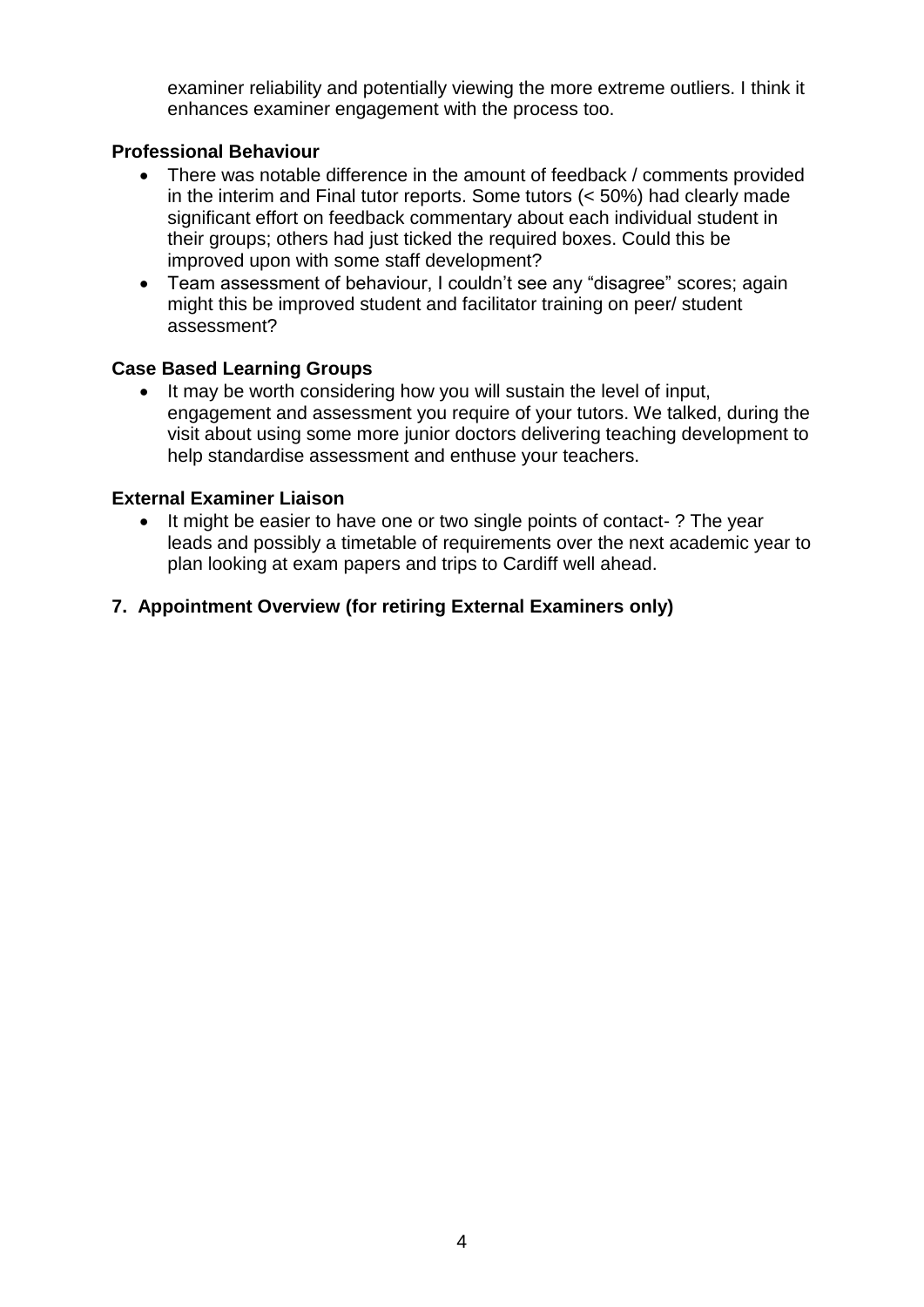examiner reliability and potentially viewing the more extreme outliers. I think it enhances examiner engagement with the process too.

#### **Professional Behaviour**

- There was notable difference in the amount of feedback / comments provided in the interim and Final tutor reports. Some tutors (< 50%) had clearly made significant effort on feedback commentary about each individual student in their groups; others had just ticked the required boxes. Could this be improved upon with some staff development?
- Team assessment of behaviour, I couldn't see any "disagree" scores; again might this be improved student and facilitator training on peer/ student assessment?

#### **Case Based Learning Groups**

• It may be worth considering how you will sustain the level of input, engagement and assessment you require of your tutors. We talked, during the visit about using some more junior doctors delivering teaching development to help standardise assessment and enthuse your teachers.

#### **External Examiner Liaison**

 It might be easier to have one or two single points of contact- ? The year leads and possibly a timetable of requirements over the next academic year to plan looking at exam papers and trips to Cardiff well ahead.

#### **7. Appointment Overview (for retiring External Examiners only)**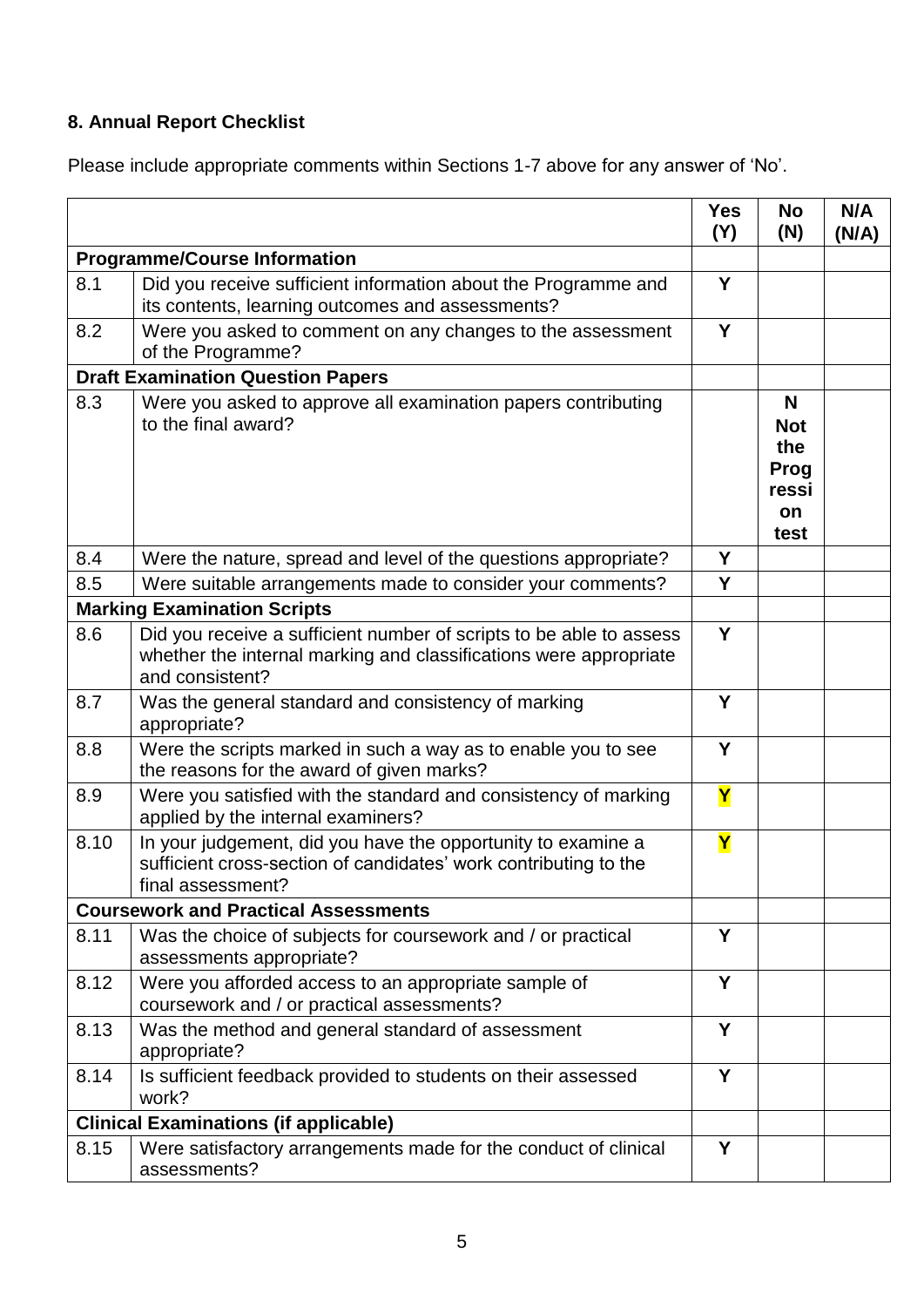# **8. Annual Report Checklist**

Please include appropriate comments within Sections 1-7 above for any answer of 'No'.

|                                          |                                                                                                                                                             | <b>Yes</b><br>(Y)       | <b>No</b><br>(N)                                             | N/A<br>(N/A) |
|------------------------------------------|-------------------------------------------------------------------------------------------------------------------------------------------------------------|-------------------------|--------------------------------------------------------------|--------------|
| <b>Programme/Course Information</b>      |                                                                                                                                                             |                         |                                                              |              |
| 8.1                                      | Did you receive sufficient information about the Programme and<br>its contents, learning outcomes and assessments?                                          | Y                       |                                                              |              |
| 8.2                                      | Were you asked to comment on any changes to the assessment<br>of the Programme?                                                                             | Y                       |                                                              |              |
| <b>Draft Examination Question Papers</b> |                                                                                                                                                             |                         |                                                              |              |
| 8.3                                      | Were you asked to approve all examination papers contributing<br>to the final award?                                                                        |                         | N<br><b>Not</b><br>the<br>Prog<br>ressi<br><b>on</b><br>test |              |
| 8.4                                      | Were the nature, spread and level of the questions appropriate?                                                                                             | Y                       |                                                              |              |
| 8.5                                      | Were suitable arrangements made to consider your comments?                                                                                                  | Y                       |                                                              |              |
|                                          | <b>Marking Examination Scripts</b>                                                                                                                          |                         |                                                              |              |
| 8.6                                      | Did you receive a sufficient number of scripts to be able to assess<br>whether the internal marking and classifications were appropriate<br>and consistent? | Y                       |                                                              |              |
| 8.7                                      | Was the general standard and consistency of marking<br>appropriate?                                                                                         | Y                       |                                                              |              |
| 8.8                                      | Were the scripts marked in such a way as to enable you to see<br>the reasons for the award of given marks?                                                  | Y                       |                                                              |              |
| 8.9                                      | Were you satisfied with the standard and consistency of marking<br>applied by the internal examiners?                                                       | $\overline{\mathsf{Y}}$ |                                                              |              |
| 8.10                                     | In your judgement, did you have the opportunity to examine a<br>sufficient cross-section of candidates' work contributing to the<br>final assessment?       | Y                       |                                                              |              |
|                                          | <b>Coursework and Practical Assessments</b>                                                                                                                 |                         |                                                              |              |
| 8.11                                     | Was the choice of subjects for coursework and / or practical<br>assessments appropriate?                                                                    | Υ                       |                                                              |              |
| 8.12                                     | Were you afforded access to an appropriate sample of<br>coursework and / or practical assessments?                                                          | Y                       |                                                              |              |
| 8.13                                     | Was the method and general standard of assessment<br>appropriate?                                                                                           | Y                       |                                                              |              |
| 8.14                                     | Is sufficient feedback provided to students on their assessed<br>work?                                                                                      | Y                       |                                                              |              |
|                                          | <b>Clinical Examinations (if applicable)</b>                                                                                                                |                         |                                                              |              |
| 8.15                                     | Were satisfactory arrangements made for the conduct of clinical<br>assessments?                                                                             | Y                       |                                                              |              |